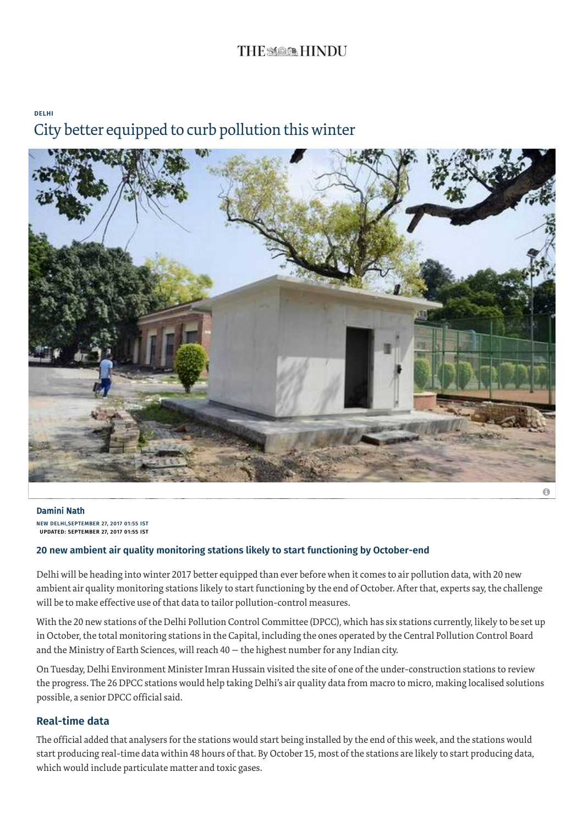# THE SAGES HINDU

### [DELHI](http://www.thehindu.com/news/cities/Delhi/) City better equipped to curb pollution this winter



NEW DELHI,SEPTEMBER 27, 2017 01:55 IST UPDATED: SEPTEMBER 27, 2017 01:55 IST [Damini Nath](http://www.thehindu.com/profile/author/Damini-Nath-502/)

#### 20 new ambient air quality monitoring stations likely to start functioning by October-end

Delhi will be heading into winter 2017 better equipped than ever before when it comes to air pollution data, with 20 new ambient air quality monitoring stations likely to start functioning by the end of October. Afterthat, experts say, the challenge will be to make effective use of that data to tailor pollution-control measures.

With the 20 new stations of the Delhi Pollution Control Committee (DPCC), which has six stations currently, likely to be set up in October, the total monitoring stations in the Capital, including the ones operated by the Central Pollution Control Board and the Ministry of Earth Sciences, will reach  $40 -$  the highest number for any Indian city.

On Tuesday, Delhi Environment Minister Imran Hussain visited the site of one of the under-construction stations to review the progress. The 26 DPCC stations would help taking Delhi's air quality data from macro to micro, making localised solutions possible, a senior DPCC official said.

#### Real-time data

The official added that analysers for the stations would start being installed by the end of this week, and the stations would start producing real-time data within 48 hours of that. By October 15, most of the stations are likely to start producing data, which would include particulate matter and toxic gases.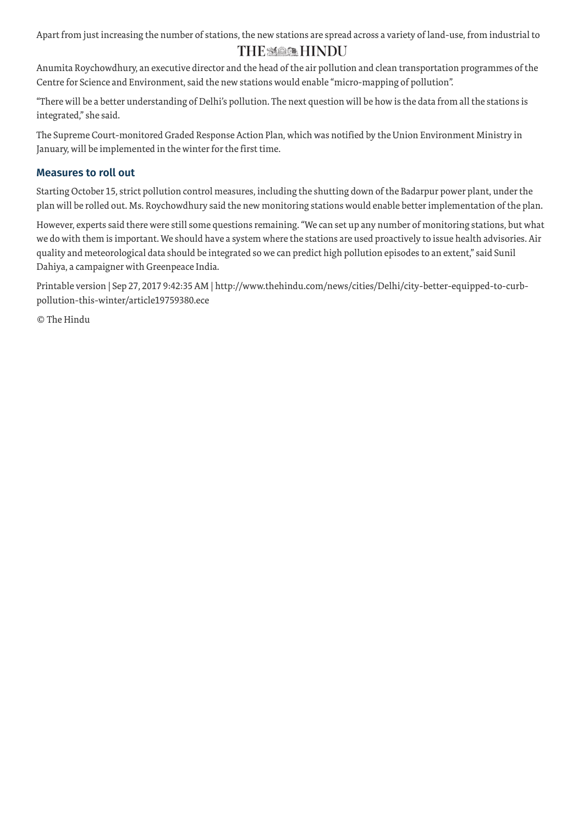Apart from just increasing the number of stations, the new stations are spread across a variety of land-use, from industrial to

# THE MAIN HINDU

Anumita Roychowdhury, an executive director and the head of the air pollution and clean transportation programmes of the Centre for Science and Environment, said the new stations would enable "micro-mapping of pollution".

"There will be a better understanding of Delhi's pollution. The next question will be how is the data from all the stations is integrated," she said.

The Supreme Court-monitored Graded Response Action Plan, which was notified by the Union Environment Ministry in January, will be implemented in the winter for the first time.

### Measures to roll out

Starting October 15, strict pollution control measures, including the shutting down of the Badarpur power plant, underthe plan will be rolled out. Ms. Roychowdhury said the new monitoring stations would enable betterimplementation of the plan.

However, experts said there were still some questions remaining."We can set up any number of monitoring stations, but what we do with them is important. We should have a system where the stations are used proactively to issue health advisories. Air quality and meteorological data should be integrated so we can predict high pollution episodes to an extent," said Sunil Dahiya, a campaigner with Greenpeace India.

Printable version | Sep 27, 2017 9:42:35 AM | http://www.thehindu.com/news/cities/Delhi/city-better-equipped-to-curbpollution-this-winter/article19759380.ece

© The Hindu